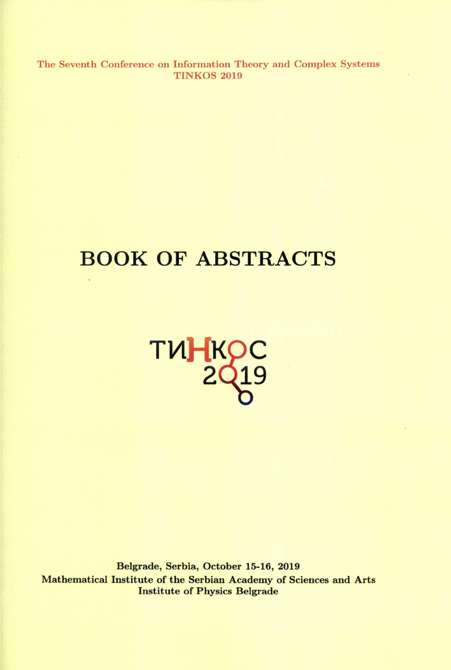The Seventh Conference on Information Theory and Complex Systems **TINKOS 2019** 

# **BOOK OF ABSTRACTS**



Belgrade, Serbia, October 15-16, 2019 Mathematical Institute of the Serbian Academy of Sciences and Arts Institute of Physics Belgrade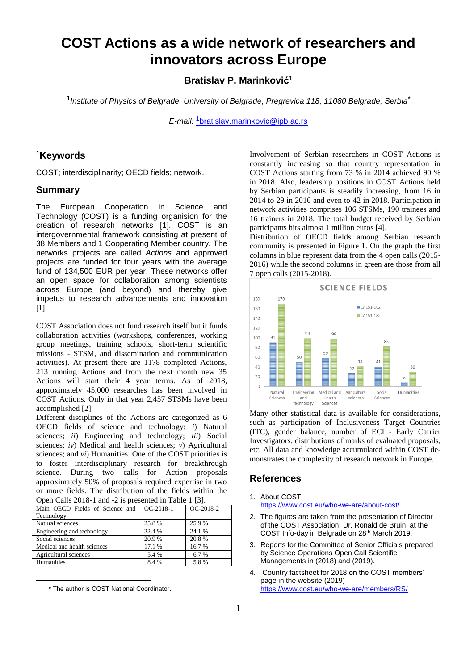# **COST Actions as a wide network of researchers and innovators across Europe**

**Bratislav P. Marinković 1**

1 *Institute of Physics of Belgrade, University of Belgrade, Pregrevica 118, 11080 Belgrade, Serbia\**

*E-mail:* 1[bratislav.marinkovic@ipb.ac.rs](mailto:1bratislav.marinkovic@ipb.ac.rs)

#### **<sup>1</sup>Keywords**

COST; interdisciplinarity; OECD fields; network.

#### **Summary**

The European Cooperation in Science and Technology (COST) is a funding organision for the creation of research networks [1]. COST is an intergovernmental framework consisting at present of 38 Members and 1 Cooperating Member country. The networks projects are called *Actions* and approved projects are funded for four years with the average fund of 134,500 EUR per year. These networks offer an open space for collaboration among scientists across Europe (and beyond) and thereby give impetus to research advancements and innovation [1].

COST Association does not fund research itself but it funds collaboration activities (workshops, conferences, working group meetings, training schools, short-term scientific missions - STSM, and dissemination and communication activities). At present there are 1178 completed Actions, 213 running Actions and from the next month new 35 Actions will start their 4 year terms. As of 2018, approximately 45,000 researches has been involved in COST Actions. Only in that year 2,457 STSMs have been accomplished [2].

Different disciplines of the Actions are categorized as 6 OECD fields of science and technology: *i*) Natural sciences; *ii*) Engineering and technology; *iii*) Social sciences; *iv*) Medical and health sciences; *v*) Agricultural sciences; and *vi*) Humanities. One of the COST priorities is to foster interdisciplinary research for breakthrough science. During two calls for Action proposals approximately 50% of proposals required expertise in two or more fields. The distribution of the fields within the Open Calls 2018-1 and -2 is presented in Table 1 [3].

| Main OECD Fields of Science and<br>$OC-2018-1$ | $OC-2018-2$ |
|------------------------------------------------|-------------|
|                                                |             |
| 25.8%                                          | 25.9 %      |
| 22.4 %                                         | 24.1 %      |
| 20.9%                                          | 20.8%       |
| 17.1 %                                         | 16.7%       |
| 5.4 %                                          | 6.7%        |
| 8.4%                                           | 5.8%        |
|                                                |             |

 <sup>\*</sup> The author is COST National Coordinator.

<u>.</u>

Involvement of Serbian researchers in COST Actions is constantly increasing so that country representation in COST Actions starting from 73 % in 2014 achieved 90 % in 2018. Also, leadership positions in COST Actions held by Serbian participants is steadily increasing, from 16 in 2014 to 29 in 2016 and even to 42 in 2018. Participation in network activities comprises 106 STSMs, 190 trainees and 16 trainers in 2018. The total budget received by Serbian participants hits almost 1 million euros [4].

Distribution of OECD fields among Serbian research community is presented in Figure 1. On the graph the first columns in blue represent data from the 4 open calls (2015- 2016) while the second columns in green are those from all 7 open calls (2015-2018).



Many other statistical data is available for considerations, such as participation of Inclusiveness Target Countries (ITC), gender balance, number of ECI - Early Carrier Investigators, distributions of marks of evaluated proposals, etc. All data and knowledge accumulated within COST demonstrates the complexity of research network in Europe.

#### **References**

- 1. About COST [https://www.cost.eu/who-we-are/about-cost/.](https://www.cost.eu/who-we-are/about-cost/)
- 2. The figures are taken from the presentation of Director of the COST Association, Dr. Ronald de Bruin, at the COST Info-day in Belgrade on 28th March 2019.
- 3. Reports for the Committee of Senior Officials prepared by Science Operations Open Call Scientific Managements in (2018) and (2019).
- 4. Country factsheet for 2018 on the COST members' page in the website (2019) <https://www.cost.eu/who-we-are/members/RS/>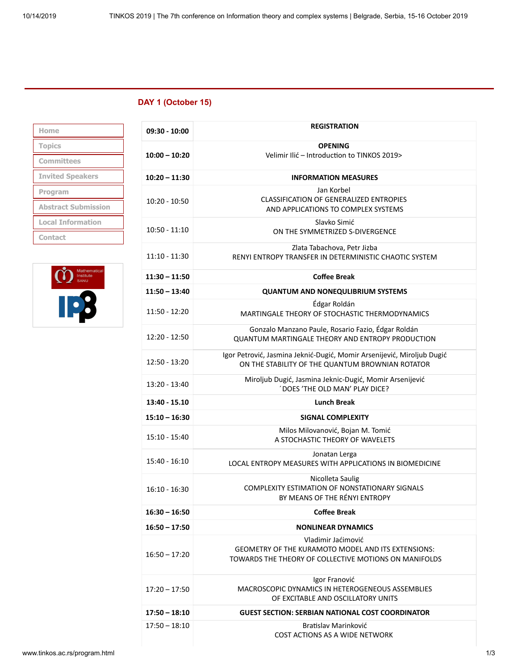## **DAY 1 (October 15)**

| Home                       |
|----------------------------|
| <b>Topics</b>              |
| <b>Committees</b>          |
| <b>Invited Speakers</b>    |
|                            |
| Program                    |
| <b>Abstract Submission</b> |
| <b>Local Information</b>   |



| 09:30 - 10:00   | <b>REGISTRATION</b>                                                                                                                      |
|-----------------|------------------------------------------------------------------------------------------------------------------------------------------|
| $10:00 - 10:20$ | <b>OPENING</b><br>Velimir Ilić - Introduction to TINKOS 2019>                                                                            |
| $10:20 - 11:30$ | <b>INFORMATION MEASURES</b>                                                                                                              |
| $10:20 - 10:50$ | Jan Korbel<br><b>CLASSIFICATION OF GENERALIZED ENTROPIES</b><br>AND APPLICATIONS TO COMPLEX SYSTEMS                                      |
| $10:50 - 11:10$ | Slavko Simić<br>ON THE SYMMETRIZED S-DIVERGENCE                                                                                          |
| 11:10 - 11:30   | Zlata Tabachova, Petr Jizba<br>RENYI ENTROPY TRANSFER IN DETERMINISTIC CHAOTIC SYSTEM                                                    |
| $11:30 - 11:50$ | <b>Coffee Break</b>                                                                                                                      |
| $11:50 - 13:40$ | <b>QUANTUM AND NONEQULIBRIUM SYSTEMS</b>                                                                                                 |
| 11:50 - 12:20   | Édgar Roldán<br>MARTINGALE THEORY OF STOCHASTIC THERMODYNAMICS                                                                           |
| $12:20 - 12:50$ | Gonzalo Manzano Paule, Rosario Fazio, Édgar Roldán<br><b>QUANTUM MARTINGALE THEORY AND ENTROPY PRODUCTION</b>                            |
| $12:50 - 13:20$ | Igor Petrović, Jasmina Jeknić-Dugić, Momir Arsenijević, Miroljub Dugić<br>ON THE STABILITY OF THE QUANTUM BROWNIAN ROTATOR               |
| 13:20 - 13:40   | Miroljub Dugić, Jasmina Jeknic-Dugić, Momir Arsenijević<br>DOES 'THE OLD MAN' PLAY DICE?                                                 |
| 13:40 - 15.10   | <b>Lunch Break</b>                                                                                                                       |
| $15:10 - 16:30$ | SIGNAL COMPLEXITY                                                                                                                        |
| 15:10 - 15:40   | Milos Milovanović, Bojan M. Tomić<br>A STOCHASTIC THEORY OF WAVELETS                                                                     |
| 15:40 - 16:10   | Jonatan Lerga<br>LOCAL ENTROPY MEASURES WITH APPLICATIONS IN BIOMEDICINE                                                                 |
| $16:10 - 16:30$ | Nicolleta Saulig<br>COMPLEXITY ESTIMATION OF NONSTATIONARY SIGNALS<br>BY MEANS OF THE RÉNYI ENTROPY                                      |
| $16:30 - 16:50$ | Coffee Break                                                                                                                             |
| $16:50 - 17:50$ | <b>NONLINEAR DYNAMICS</b>                                                                                                                |
| $16:50 - 17:20$ | Vladimir Jaćimović<br><b>GEOMETRY OF THE KURAMOTO MODEL AND ITS EXTENSIONS:</b><br>TOWARDS THE THEORY OF COLLECTIVE MOTIONS ON MANIFOLDS |
| $17:20 - 17:50$ | Igor Franović<br>MACROSCOPIC DYNAMICS IN HETEROGENEOUS ASSEMBLIES<br>OF EXCITABLE AND OSCILLATORY UNITS                                  |
| $17:50 - 18:10$ | <b>GUEST SECTION: SERBIAN NATIONAL COST COORDINATOR</b>                                                                                  |
| $17:50 - 18:10$ | Bratislav Marinković<br>COST ACTIONS AS A WIDE NETWORK                                                                                   |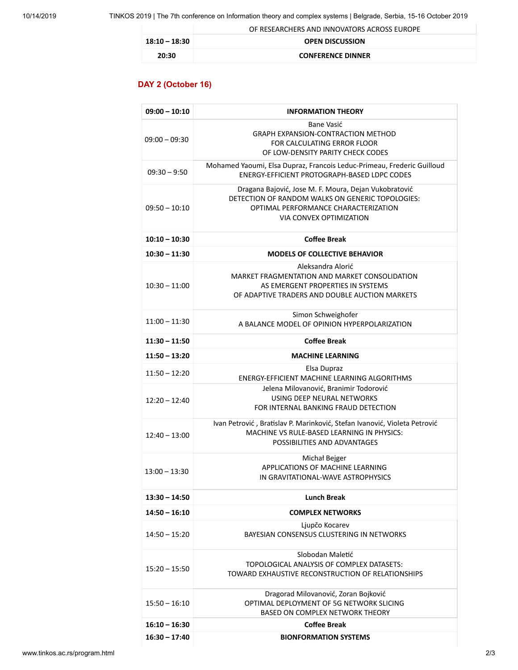|               | OF RESEARCHERS AND INNOVATORS ACROSS EUROPE |
|---------------|---------------------------------------------|
| 18:10 – 18:30 | <b>OPEN DISCUSSION</b>                      |
| 20:30         | <b>CONFERENCE DINNER</b>                    |

### **DAY 2 (October 16)**

| $09:00 - 10:10$ | <b>INFORMATION THEORY</b>                                                                                                                                                    |
|-----------------|------------------------------------------------------------------------------------------------------------------------------------------------------------------------------|
| $09:00 - 09:30$ | Bane Vasić<br><b>GRAPH EXPANSION-CONTRACTION METHOD</b><br>FOR CALCULATING ERROR FLOOR<br>OF LOW-DENSITY PARITY CHECK CODES                                                  |
| $09:30 - 9:50$  | Mohamed Yaoumi, Elsa Dupraz, Francois Leduc-Primeau, Frederic Guilloud<br>ENERGY-EFFICIENT PROTOGRAPH-BASED LDPC CODES                                                       |
| $09:50 - 10:10$ | Dragana Bajović, Jose M. F. Moura, Dejan Vukobratović<br>DETECTION OF RANDOM WALKS ON GENERIC TOPOLOGIES:<br>OPTIMAL PERFORMANCE CHARACTERIZATION<br>VIA CONVEX OPTIMIZATION |
| $10:10 - 10:30$ | <b>Coffee Break</b>                                                                                                                                                          |
| $10:30 - 11:30$ | <b>MODELS OF COLLECTIVE BEHAVIOR</b>                                                                                                                                         |
| $10:30 - 11:00$ | Aleksandra Alorić<br>MARKET FRAGMENTATION AND MARKET CONSOLIDATION<br>AS EMERGENT PROPERTIES IN SYSTEMS<br>OF ADAPTIVE TRADERS AND DOUBLE AUCTION MARKETS                    |
| $11:00 - 11:30$ | Simon Schweighofer<br>A BALANCE MODEL OF OPINION HYPERPOLARIZATION                                                                                                           |
| $11:30 - 11:50$ | <b>Coffee Break</b>                                                                                                                                                          |
| $11:50 - 13:20$ | <b>MACHINE LEARNING</b>                                                                                                                                                      |
| $11:50 - 12:20$ | Elsa Dupraz<br>ENERGY-EFFICIENT MACHINE LEARNING ALGORITHMS                                                                                                                  |
| $12:20 - 12:40$ | Jelena Milovanović, Branimir Todorović<br>USING DEEP NEURAL NETWORKS                                                                                                         |
|                 | FOR INTERNAL BANKING FRAUD DETECTION                                                                                                                                         |
| $12:40 - 13:00$ | Ivan Petrović, Bratislav P. Marinković, Stefan Ivanović, Violeta Petrović<br>MACHINE VS RULE-BASED LEARNING IN PHYSICS:<br>POSSIBILITIES AND ADVANTAGES                      |
| $13:00 - 13:30$ | Michał Bejger<br>APPLICATIONS OF MACHINE LEARNING<br>IN GRAVITATIONAL-WAVE ASTROPHYSICS                                                                                      |
| $13:30 - 14:50$ | <b>Lunch Break</b>                                                                                                                                                           |
| $14:50 - 16:10$ | <b>COMPLEX NETWORKS</b>                                                                                                                                                      |
| $14:50 - 15:20$ | Ljupčo Kocarev<br>BAYESIAN CONSENSUS CLUSTERING IN NETWORKS                                                                                                                  |
| $15:20 - 15:50$ | Slobodan Maletić<br>TOPOLOGICAL ANALYSIS OF COMPLEX DATASETS:<br>TOWARD EXHAUSTIVE RECONSTRUCTION OF RELATIONSHIPS                                                           |
| $15:50 - 16:10$ | Dragorad Milovanović, Zoran Bojković<br>OPTIMAL DEPLOYMENT OF 5G NETWORK SLICING<br>BASED ON COMPLEX NETWORK THEORY                                                          |
| $16:10 - 16:30$ | <b>Coffee Break</b>                                                                                                                                                          |
| $16:30 - 17:40$ | <b>BIONFORMATION SYSTEMS</b>                                                                                                                                                 |